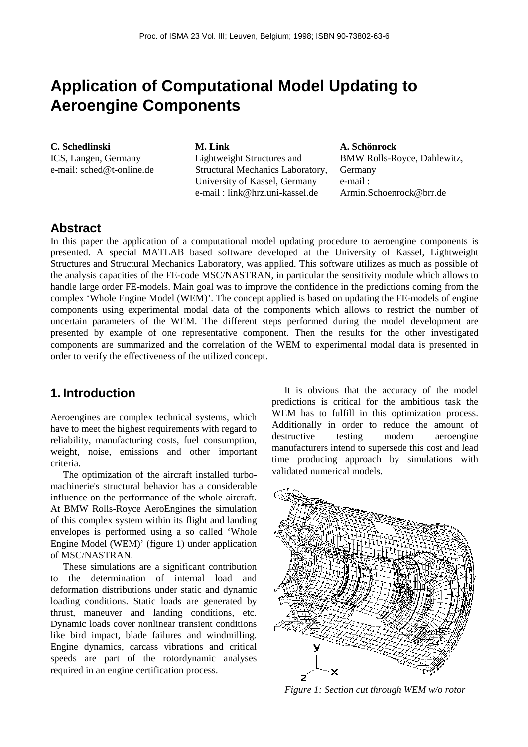# **Application of Computational Model Updating to Aeroengine Components**

**C. Schedlinski** ICS, Langen, Germany e-mail: sched@t-online.de **M. Link** Lightweight Structures and Structural Mechanics Laboratory, University of Kassel, Germany e-mail : link@hrz.uni-kassel.de

**A. Schönrock** BMW Rolls-Royce, Dahlewitz, **Germany** e-mail : Armin.Schoenrock@brr.de

# **Abstract**

In this paper the application of a computational model updating procedure to aeroengine components is presented. A special MATLAB based software developed at the University of Kassel, Lightweight Structures and Structural Mechanics Laboratory, was applied. This software utilizes as much as possible of the analysis capacities of the FE-code MSC/NASTRAN, in particular the sensitivity module which allows to handle large order FE-models. Main goal was to improve the confidence in the predictions coming from the complex 'Whole Engine Model (WEM)'. The concept applied is based on updating the FE-models of engine components using experimental modal data of the components which allows to restrict the number of uncertain parameters of the WEM. The different steps performed during the model development are presented by example of one representative component. Then the results for the other investigated components are summarized and the correlation of the WEM to experimental modal data is presented in order to verify the effectiveness of the utilized concept.

# **1. Introduction**

Aeroengines are complex technical systems, which have to meet the highest requirements with regard to reliability, manufacturing costs, fuel consumption, weight, noise, emissions and other important criteria.

The optimization of the aircraft installed turbomachinerie's structural behavior has a considerable influence on the performance of the whole aircraft. At BMW Rolls-Royce AeroEngines the simulation of this complex system within its flight and landing envelopes is performed using a so called 'Whole Engine Model (WEM)' (figure 1) under application of MSC/NASTRAN.

These simulations are a significant contribution to the determination of internal load and deformation distributions under static and dynamic loading conditions. Static loads are generated by thrust, maneuver and landing conditions, etc. Dynamic loads cover nonlinear transient conditions like bird impact, blade failures and windmilling. Engine dynamics, carcass vibrations and critical speeds are part of the rotordynamic analyses required in an engine certification process.

It is obvious that the accuracy of the model predictions is critical for the ambitious task the WEM has to fulfill in this optimization process. Additionally in order to reduce the amount of destructive testing modern aeroengine manufacturers intend to supersede this cost and lead time producing approach by simulations with validated numerical models.



*Figure 1: Section cut through WEM w/o rotor*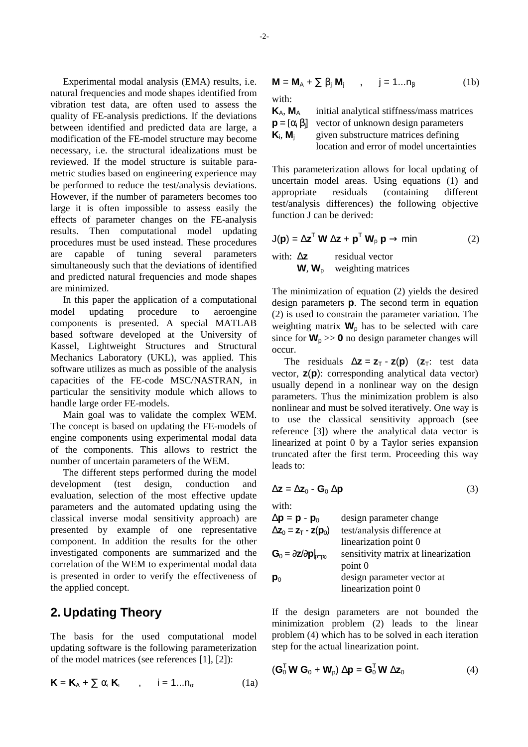Experimental modal analysis (EMA) results, i.e. natural frequencies and mode shapes identified from vibration test data, are often used to assess the quality of FE-analysis predictions. If the deviations between identified and predicted data are large, a modification of the FE-model structure may become necessary, i.e. the structural idealizations must be reviewed. If the model structure is suitable parametric studies based on engineering experience may be performed to reduce the test/analysis deviations. However, if the number of parameters becomes too large it is often impossible to assess easily the effects of parameter changes on the FE-analysis results. Then computational model updating procedures must be used instead. These procedures are capable of tuning several parameters simultaneously such that the deviations of identified and predicted natural frequencies and mode shapes are minimized.

In this paper the application of a computational model updating procedure to aeroengine components is presented. A special MATLAB based software developed at the University of Kassel, Lightweight Structures and Structural Mechanics Laboratory (UKL), was applied. This software utilizes as much as possible of the analysis capacities of the FE-code MSC/NASTRAN, in particular the sensitivity module which allows to handle large order FE-models.

Main goal was to validate the complex WEM. The concept is based on updating the FE-models of engine components using experimental modal data of the components. This allows to restrict the number of uncertain parameters of the WEM.

The different steps performed during the model development (test design, conduction and evaluation, selection of the most effective update parameters and the automated updating using the classical inverse modal sensitivity approach) are presented by example of one representative component. In addition the results for the other investigated components are summarized and the correlation of the WEM to experimental modal data is presented in order to verify the effectiveness of the applied concept.

# **2. Updating Theory**

The basis for the used computational model updating software is the following parameterization of the model matrices (see references [1], [2]):

$$
\mathbf{K} = \mathbf{K}_{A} + \sum \alpha_{i} \mathbf{K}_{i} \qquad , \qquad i = 1...n_{\alpha} \tag{1a}
$$

$$
\mathbf{M} = \mathbf{M}_{A} + \sum \beta_{j} \mathbf{M}_{j} , \qquad j = 1...n_{\beta}
$$
 (1b)  
with:

**K**A, **M**<sup>A</sup> initial analytical stiffness/mass matrices **p** =  $[\alpha_i \beta_i]$ vector of unknown design parameters  $K_i$ ,  $M_i$ given substructure matrices defining location and error of model uncertainties

This parameterization allows for local updating of uncertain model areas. Using equations (1) and appropriate residuals (containing different test/analysis differences) the following objective function J can be derived:

$$
J(\mathbf{p}) = \Delta \mathbf{z}^T \mathbf{W} \Delta \mathbf{z} + \mathbf{p}^T \mathbf{W}_p \mathbf{p} \rightarrow min
$$
 (2)  
with:  $\Delta \mathbf{z}$  residual vector  
**W**, **W**<sub>p</sub> weighting matrices

The minimization of equation (2) yields the desired design parameters **p**. The second term in equation (2) is used to constrain the parameter variation. The weighting matrix  $W_p$  has to be selected with care since for  $W_p \gg 0$  no design parameter changes will occur.

The residuals  $\Delta z = z_T - z(p)$  ( $z_T$ : test data vector, **z**(**p**): corresponding analytical data vector) usually depend in a nonlinear way on the design parameters. Thus the minimization problem is also nonlinear and must be solved iteratively. One way is to use the classical sensitivity approach (see reference [3]) where the analytical data vector is linearized at point 0 by a Taylor series expansion truncated after the first term. Proceeding this way leads to:

$$
\Delta z = \Delta z_0 - G_0 \Delta p \tag{3}
$$

with:

$$
\Delta p = p - p_0
$$
 design parameter change  
\n
$$
\Delta z_0 = z_T - z(p_0)
$$
test/analysis difference at  
\nlinearization point 0  
\n**G**<sub>0</sub> =  $\partial z/\partial p|_{p=p_0}$  sensitivity matrix at linearization  
\npoint 0  
\n $p_0$  design parameter vector at  
\nlinearization point 0

If the design parameters are not bounded the minimization problem (2) leads to the linear problem (4) which has to be solved in each iteration step for the actual linearization point.

$$
(\mathbf{G}_0^{\mathsf{T}} \mathbf{W} \mathbf{G}_0 + \mathbf{W}_p) \Delta \mathbf{p} = \mathbf{G}_0^{\mathsf{T}} \mathbf{W} \Delta \mathbf{z}_0 \tag{4}
$$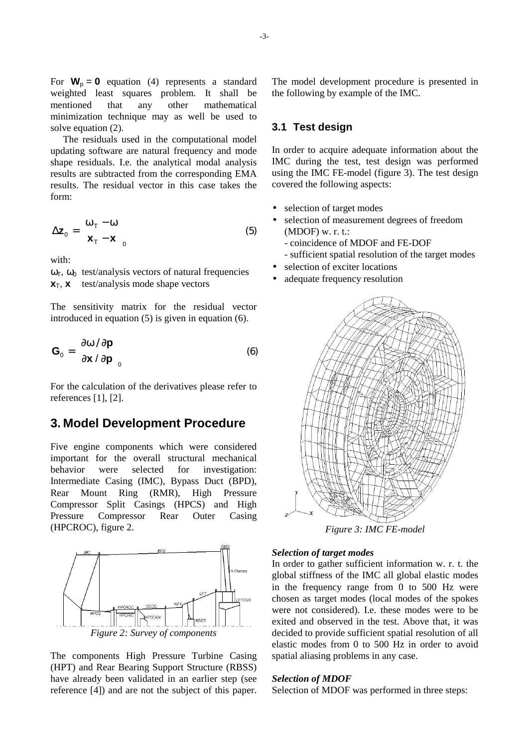For  $W_p = 0$  equation (4) represents a standard weighted least squares problem. It shall be mentioned that any other mathematical minimization technique may as well be used to solve equation (2).

The residuals used in the computational model updating software are natural frequency and mode shape residuals. I.e. the analytical modal analysis results are subtracted from the corresponding EMA results. The residual vector in this case takes the form:

$$
\Delta \mathbf{z}_0 = \begin{bmatrix} \omega_\top - \omega \\ \mathbf{x}_\top - \mathbf{x} \end{bmatrix}_0 \tag{5}
$$

with:

 $ω<sub>T</sub>$ , ω<sub>0</sub> test/analysis vectors of natural frequencies  $x_T$ ,  $x$  test/analysis mode shape vectors

The sensitivity matrix for the residual vector introduced in equation (5) is given in equation (6).

$$
\mathbf{G}_0 = \begin{bmatrix} \partial \omega / \partial \mathbf{p} \\ \partial \mathbf{x} / \partial \mathbf{p} \end{bmatrix}_0 \tag{6}
$$

For the calculation of the derivatives please refer to references [1], [2].

## **3. Model Development Procedure**

Five engine components which were considered important for the overall structural mechanical behavior were selected for investigation: Intermediate Casing (IMC), Bypass Duct (BPD), Rear Mount Ring (RMR), High Pressure Compressor Split Casings (HPCS) and High Pressure Compressor Rear Outer Casing (HPCROC), figure 2.



The components High Pressure Turbine Casing (HPT) and Rear Bearing Support Structure (RBSS) have already been validated in an earlier step (see reference [4]) and are not the subject of this paper. The model development procedure is presented in the following by example of the IMC.

### **3.1 Test design**

In order to acquire adequate information about the IMC during the test, test design was performed using the IMC FE-model (figure 3). The test design covered the following aspects:

- selection of target modes
- selection of measurement degrees of freedom  $(MDOF)$  w. r. t.:
	- coincidence of MDOF and FE-DOF - sufficient spatial resolution of the target modes
- selection of exciter locations
- adequate frequency resolution



*Figure 3: IMC FE-model*

#### *Selection of target modes*

In order to gather sufficient information w. r. t. the global stiffness of the IMC all global elastic modes in the frequency range from 0 to 500 Hz were chosen as target modes (local modes of the spokes were not considered). I.e. these modes were to be exited and observed in the test. Above that, it was decided to provide sufficient spatial resolution of all elastic modes from 0 to 500 Hz in order to avoid spatial aliasing problems in any case.

#### *Selection of MDOF*

Selection of MDOF was performed in three steps: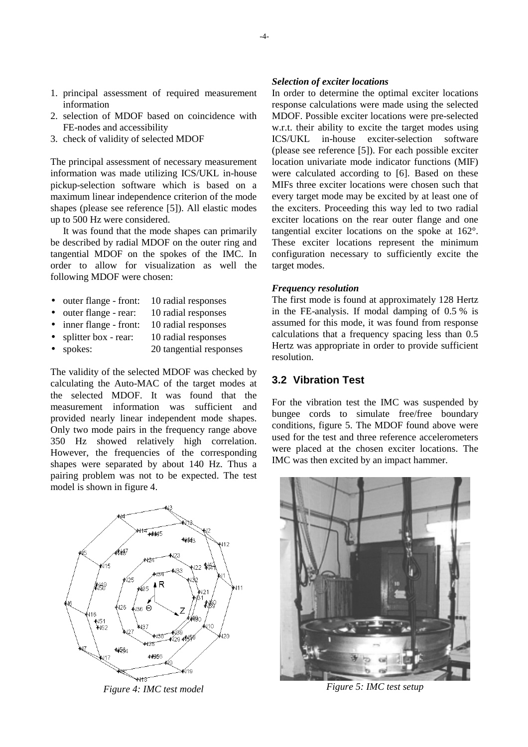- 1. principal assessment of required measurement information
- 2. selection of MDOF based on coincidence with FE-nodes and accessibility
- 3. check of validity of selected MDOF

The principal assessment of necessary measurement information was made utilizing ICS/UKL in-house pickup-selection software which is based on a maximum linear independence criterion of the mode shapes (please see reference [5]). All elastic modes up to 500 Hz were considered.

It was found that the mode shapes can primarily be described by radial MDOF on the outer ring and tangential MDOF on the spokes of the IMC. In order to allow for visualization as well the following MDOF were chosen:

- outer flange front: 10 radial responses
- outer flange rear: 10 radial responses
- inner flange front: 10 radial responses
- splitter box rear: 10 radial responses
- spokes: 20 tangential responses

The validity of the selected MDOF was checked by calculating the Auto-MAC of the target modes at the selected MDOF. It was found that the measurement information was sufficient and provided nearly linear independent mode shapes. Only two mode pairs in the frequency range above 350 Hz showed relatively high correlation. However, the frequencies of the corresponding shapes were separated by about 140 Hz. Thus a pairing problem was not to be expected. The test model is shown in figure 4.



*Figure 4: IMC test model*

#### *Selection of exciter locations*

In order to determine the optimal exciter locations response calculations were made using the selected MDOF. Possible exciter locations were pre-selected w.r.t. their ability to excite the target modes using ICS/UKL in-house exciter-selection software (please see reference [5]). For each possible exciter location univariate mode indicator functions (MIF) were calculated according to [6]. Based on these MIFs three exciter locations were chosen such that every target mode may be excited by at least one of the exciters. Proceeding this way led to two radial exciter locations on the rear outer flange and one tangential exciter locations on the spoke at 162°. These exciter locations represent the minimum configuration necessary to sufficiently excite the target modes.

#### *Frequency resolution*

The first mode is found at approximately 128 Hertz in the FE-analysis. If modal damping of 0.5 % is assumed for this mode, it was found from response calculations that a frequency spacing less than 0.5 Hertz was appropriate in order to provide sufficient resolution.

### **3.2 Vibration Test**

For the vibration test the IMC was suspended by bungee cords to simulate free/free boundary conditions, figure 5. The MDOF found above were used for the test and three reference accelerometers were placed at the chosen exciter locations. The IMC was then excited by an impact hammer.



*Figure 5: IMC test setup*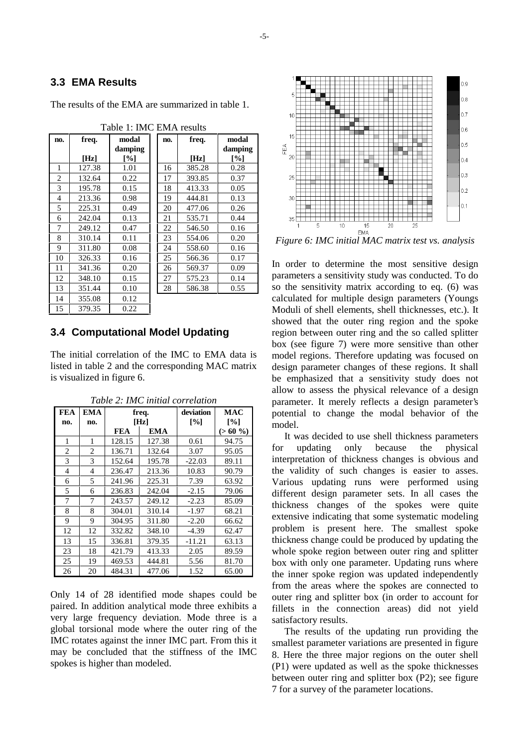### **3.3 EMA Results**

Table 1: IMC EMA results **no. freq. [Hz] modal damping [%] no. freq. [Hz] modal damping [%]** 1 | 127.38 | 1.01 | 16 | 385.28 | 0.28 2 132.64 0.22 1 17 393.85 0.37 3 195.78 0.15 18 413.33 0.05 4 213.36 0.98 19 444.81 0.13 5 225.31 0.49 20 477.06 0.26 6 242.04 0.13 21 535.71 0.44 7 249.12 0.47 1 22 546.50 0.16 8 310.14 0.11 23 554.06 0.20 9 311.80 0.08 24 558.60 0.16 10 326.33 0.16 25 566.36 0.17 11 341.36 0.20 26 569.37 0.09 12 348.10 0.15 27 575.23 0.14 13 351.44 0.10 28 586.38 0.55 14 355.08 0.12 15 379.35 0.22

The results of the EMA are summarized in table 1.

### **3.4 Computational Model Updating**

The initial correlation of the IMC to EMA data is listed in table 2 and the corresponding MAC matrix is visualized in figure 6.

| <b>FEA</b> | <b>EMA</b> | freq.      |        | deviation | MAC               |
|------------|------------|------------|--------|-----------|-------------------|
| no.        | no.        | [Hz]       |        | [%]       | $\lceil\% \rceil$ |
|            |            | <b>FEA</b> | EMA    |           | $(>60\%$          |
| 1          | 1          | 128.15     | 127.38 | 0.61      | 94.75             |
| 2          | 2          | 136.71     | 132.64 | 3.07      | 95.05             |
| 3          | 3          | 152.64     | 195.78 | $-22.03$  | 89.11             |
| 4          | 4          | 236.47     | 213.36 | 10.83     | 90.79             |
| 6          | 5          | 241.96     | 225.31 | 7.39      | 63.92             |
| 5          | 6          | 236.83     | 242.04 | $-2.15$   | 79.06             |
| 7          | 7          | 243.57     | 249.12 | $-2.23$   | 85.09             |
| 8          | 8          | 304.01     | 310.14 | $-1.97$   | 68.21             |
| 9          | 9          | 304.95     | 311.80 | $-2.20$   | 66.62             |
| 12         | 12         | 332.82     | 348.10 | $-4.39$   | 62.47             |
| 13         | 15         | 336.81     | 379.35 | $-11.21$  | 63.13             |
| 23         | 18         | 421.79     | 413.33 | 2.05      | 89.59             |
| 25         | 19         | 469.53     | 444.81 | 5.56      | 81.70             |
| 26         | 20         | 484.31     | 477.06 | 1.52      | 65.00             |

*Table 2: IMC initial correlation*

Only 14 of 28 identified mode shapes could be paired. In addition analytical mode three exhibits a very large frequency deviation. Mode three is a global torsional mode where the outer ring of the IMC rotates against the inner IMC part. From this it may be concluded that the stiffness of the IMC spokes is higher than modeled.



*Figure 6: IMC initial MAC matrix test vs. analysis*

In order to determine the most sensitive design parameters a sensitivity study was conducted. To do so the sensitivity matrix according to eq. (6) was calculated for multiple design parameters (Youngs Moduli of shell elements, shell thicknesses, etc.). It showed that the outer ring region and the spoke region between outer ring and the so called splitter box (see figure 7) were more sensitive than other model regions. Therefore updating was focused on design parameter changes of these regions. It shall be emphasized that a sensitivity study does not allow to assess the physical relevance of a design parameter. It merely reflects a design parameter's potential to change the modal behavior of the model.

It was decided to use shell thickness parameters for updating only because the physical interpretation of thickness changes is obvious and the validity of such changes is easier to asses. Various updating runs were performed using different design parameter sets. In all cases the thickness changes of the spokes were quite extensive indicating that some systematic modeling problem is present here. The smallest spoke thickness change could be produced by updating the whole spoke region between outer ring and splitter box with only one parameter. Updating runs where the inner spoke region was updated independently from the areas where the spokes are connected to outer ring and splitter box (in order to account for fillets in the connection areas) did not yield satisfactory results.

The results of the updating run providing the smallest parameter variations are presented in figure 8. Here the three major regions on the outer shell (P1) were updated as well as the spoke thicknesses between outer ring and splitter box (P2); see figure 7 for a survey of the parameter locations.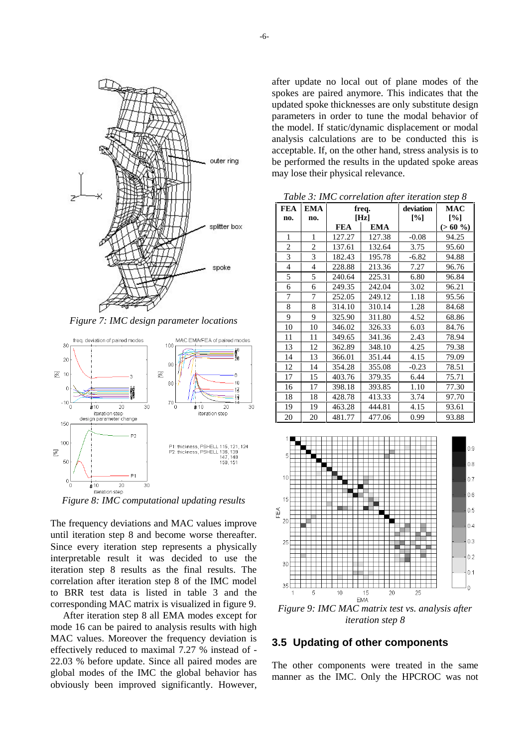

*Figure 7: IMC design parameter locations*



*Figure 8: IMC computational updating results*

The frequency deviations and MAC values improve until iteration step 8 and become worse thereafter. Since every iteration step represents a physically interpretable result it was decided to use the iteration step 8 results as the final results. The correlation after iteration step 8 of the IMC model to BRR test data is listed in table 3 and the corresponding MAC matrix is visualized in figure 9.

After iteration step 8 all EMA modes except for mode 16 can be paired to analysis results with high MAC values. Moreover the frequency deviation is effectively reduced to maximal 7.27 % instead of - 22.03 % before update. Since all paired modes are global modes of the IMC the global behavior has obviously been improved significantly. However, after update no local out of plane modes of the spokes are paired anymore. This indicates that the updated spoke thicknesses are only substitute design parameters in order to tune the modal behavior of the model. If static/dynamic displacement or modal analysis calculations are to be conducted this is acceptable. If, on the other hand, stress analysis is to be performed the results in the updated spoke areas may lose their physical relevance.

*Table 3: IMC correlation after iteration step 8*

| <b>FEA</b>     | <b>EMA</b>     | freq.      |            | deviation | <b>MAC</b> |  |
|----------------|----------------|------------|------------|-----------|------------|--|
| no.            | no.            | [Hz]       |            | [%]       | [%]        |  |
|                |                | <b>FEA</b> | <b>EMA</b> |           | $(>60\%$   |  |
| 1              | 1              | 127.27     | 127.38     | $-0.08$   | 94.25      |  |
| 2              | $\overline{2}$ | 137.61     | 132.64     | 3.75      | 95.60      |  |
| 3              | 3              | 182.43     | 195.78     | $-6.82$   | 94.88      |  |
| 4              | $\overline{4}$ | 228.88     | 213.36     | 7.27      | 96.76      |  |
| 5              | 5              | 240.64     | 225.31     | 6.80      | 96.84      |  |
| 6              | 6              | 249.35     | 242.04     | 3.02      | 96.21      |  |
| 7              | 7              | 252.05     | 249.12     | 1.18      | 95.56      |  |
| 8              | 8              | 314.10     | 310.14     | 1.28      | 84.68      |  |
| 9              | 9              | 325.90     | 311.80     | 4.52      | 68.86      |  |
| 10             | 10             | 346.02     | 326.33     | 6.03      | 84.76      |  |
| 11             | 11             | 349.65     | 341.36     | 2.43      | 78.94      |  |
| 13             | 12             | 362.89     | 348.10     | 4.25      | 79.38      |  |
| 14             | 13             | 366.01     | 351.44     | 4.15      | 79.09      |  |
| 12             | 14             | 354.28     | 355.08     | $-0.23$   | 78.51      |  |
| 17             | 15             | 403.76     | 379.35     | 6.44      | 75.71      |  |
| 16             | 17             | 398.18     | 393.85     | 1.10      | 77.30      |  |
| 18             | 18             | 428.78     | 413.33     | 3.74      | 97.70      |  |
| 19             | 19             | 463.28     | 444.81     | 4.15      | 93.61      |  |
| 20             | 20             | 481.77     | 477.06     | 0.99      | 93.88      |  |
| 1 <sup>1</sup> |                |            |            |           |            |  |



*Figure 9: IMC MAC matrix test vs. analysis after iteration step 8*

### **3.5 Updating of other components**

The other components were treated in the same manner as the IMC. Only the HPCROC was not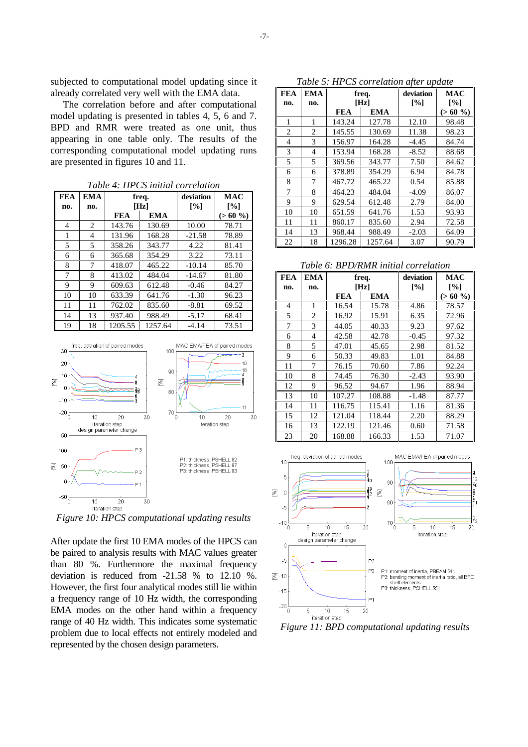subjected to computational model updating since it already correlated very well with the EMA data.

The correlation before and after computational model updating is presented in tables 4, 5, 6 and 7. BPD and RMR were treated as one unit, thus appearing in one table only. The results of the corresponding computational model updating runs are presented in figures 10 and 11.

| <b>FEA</b> | <b>EMA</b> | freq.      |            | deviation | <b>MAC</b>        |  |
|------------|------------|------------|------------|-----------|-------------------|--|
| no.        | no.        | [Hz]       |            | [%]       | $\lceil\% \rceil$ |  |
|            |            | <b>FEA</b> | <b>EMA</b> |           | $(>60\%$          |  |
| 4          | 2          | 143.76     | 130.69     | 10.00     | 78.71             |  |
| 1          | 4          | 131.96     | 168.28     | $-21.58$  | 78.89             |  |
| 5          | 5          | 358.26     | 343.77     | 4.22      | 81.41             |  |
| 6          | 6          | 365.68     | 354.29     | 3.22      | 73.11             |  |
| 8          | 7          | 418.07     | 465.22     | $-10.14$  | 85.70             |  |
| 7          | 8          | 413.02     | 484.04     | $-14.67$  | 81.80             |  |
| 9          | 9          | 609.63     | 612.48     | $-0.46$   | 84.27             |  |
| 10         | 10         | 633.39     | 641.76     | $-1.30$   | 96.23             |  |
| 11         | 11         | 762.02     | 835.60     | $-8.81$   | 69.52             |  |
| 14         | 13         | 937.40     | 988.49     | $-5.17$   | 68.41             |  |
| 19         | 18         | 1205.55    | 1257.64    | $-4.14$   | 73.51             |  |

*Table 4: HPCS initial correlation*



*Figure 10: HPCS computational updating results*

After update the first 10 EMA modes of the HPCS can be paired to analysis results with MAC values greater than 80 %. Furthermore the maximal frequency deviation is reduced from -21.58 % to 12.10 %. However, the first four analytical modes still lie within a frequency range of 10 Hz width, the corresponding EMA modes on the other hand within a frequency range of 40 Hz width. This indicates some systematic problem due to local effects not entirely modeled and represented by the chosen design parameters.

*Table 5: HPCS correlation after update*

| <b>FEA</b> | <b>EMA</b>     |            | freq.      | 111 CS correttion aper apartic<br>deviation | <b>MAC</b> |
|------------|----------------|------------|------------|---------------------------------------------|------------|
| no.        | no.            | [Hz]       |            | [%]                                         | [%]        |
|            |                | <b>FEA</b> | <b>EMA</b> |                                             | $(>60\%$   |
| 1          | 1              | 143.24     | 127.78     | 12.10                                       | 98.48      |
| 2          | $\overline{c}$ | 145.55     | 130.69     | 11.38                                       | 98.23      |
| 4          | 3              | 156.97     | 164.28     | $-4.45$                                     | 84.74      |
| 3          | 4              | 153.94     | 168.28     | $-8.52$                                     | 88.68      |
| 5          | 5              | 369.56     | 343.77     | 7.50                                        | 84.62      |
| 6          | 6              | 378.89     | 354.29     | 6.94                                        | 84.78      |
| 8          | 7              | 467.72     | 465.22     | 0.54                                        | 85.88      |
| 7          | 8              | 464.23     | 484.04     | $-4.09$                                     | 86.07      |
| 9          | 9              | 629.54     | 612.48     | 2.79                                        | 84.00      |
| 10         | 10             | 651.59     | 641.76     | 1.53                                        | 93.93      |
| 11         | 11             | 860.17     | 835.60     | 2.94                                        | 72.58      |
| 14         | 13             | 968.44     | 988.49     | $-2.03$                                     | 64.09      |
| 22         | 18             | 1296.28    | 1257.64    | 3.07                                        | 90.79      |

*Table 6: BPD/RMR initial correlation*

| <b>FEA</b>     | <b>EMA</b> | freq.      |            | deviation | MAC       |  |
|----------------|------------|------------|------------|-----------|-----------|--|
| no.            | no.        | [Hz]       |            | [%]       | [%]       |  |
|                |            | <b>FEA</b> | <b>EMA</b> |           | $(>60\%)$ |  |
| $\overline{4}$ | 1          | 16.54      | 15.78      | 4.86      | 78.57     |  |
| 5              | 2          | 16.92      | 15.91      | 6.35      | 72.96     |  |
| 7              | 3          | 44.05      | 40.33      | 9.23      | 97.62     |  |
| 6              | 4          | 42.58      | 42.78      | $-0.45$   | 97.32     |  |
| 8              | 5          | 47.01      | 45.65      | 2.98      | 81.52     |  |
| 9              | 6          | 50.33      | 49.83      | 1.01      | 84.88     |  |
| 11             | 7          | 76.15      | 70.60      | 7.86      | 92.24     |  |
| 10             | 8          | 74.45      | 76.30      | $-2.43$   | 93.90     |  |
| 12             | 9          | 96.52      | 94.67      | 1.96      | 88.94     |  |
| 13             | 10         | 107.27     | 108.88     | $-1.48$   | 87.77     |  |
| 14             | 11         | 116.75     | 115.41     | 1.16      | 81.36     |  |
| 15             | 12         | 121.04     | 118.44     | 2.20      | 88.29     |  |
| 16             | 13         | 122.19     | 121.46     | 0.60      | 71.58     |  |
| 23             | 20         | 168.88     | 166.33     | 1.53      | 71.07     |  |



*Figure 11: BPD computational updating results*